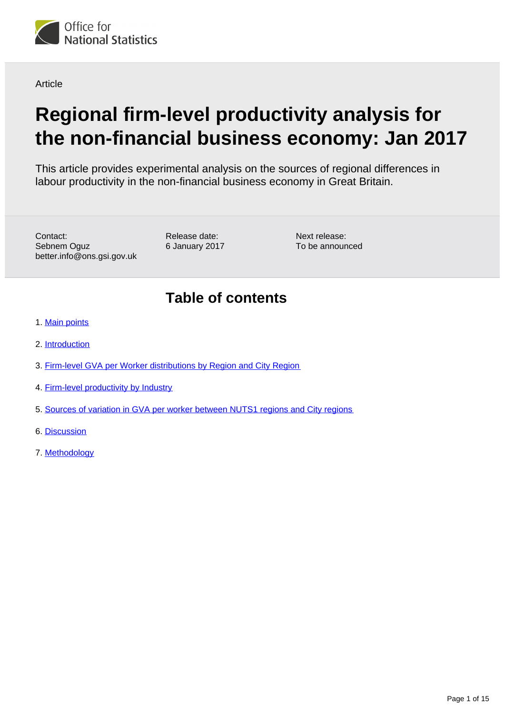

**Article** 

# **Regional firm-level productivity analysis for the non-financial business economy: Jan 2017**

This article provides experimental analysis on the sources of regional differences in labour productivity in the non-financial business economy in Great Britain.

Contact: Sebnem Oguz better.info@ons.gsi.gov.uk Release date: 6 January 2017 Next release: To be announced

# **Table of contents**

- 1. [Main points](#page-1-0)
- 2. [Introduction](#page-1-1)
- 3. [Firm-level GVA per Worker distributions by Region and City Region](#page-2-0)
- 4. [Firm-level productivity by Industry](#page-4-0)
- 5. [Sources of variation in GVA per worker between NUTS1 regions and City regions](#page-8-0)
- 6. [Discussion](#page-11-0)
- 7. [Methodology](#page-12-0)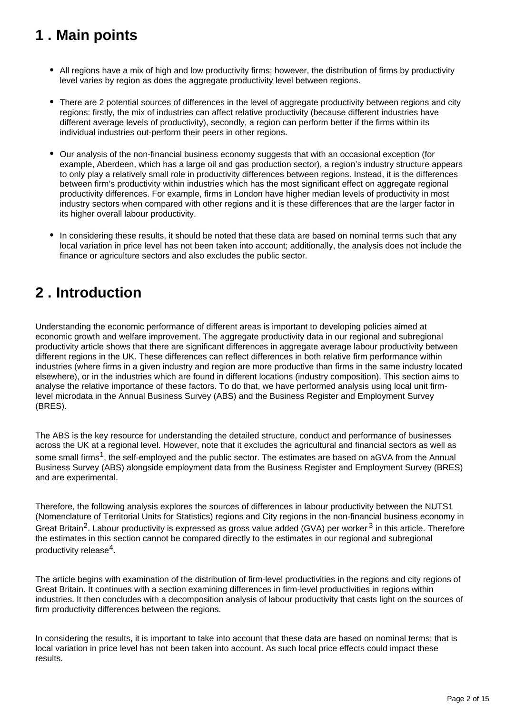# <span id="page-1-0"></span>**1 . Main points**

- All regions have a mix of high and low productivity firms; however, the distribution of firms by productivity level varies by region as does the aggregate productivity level between regions.
- There are 2 potential sources of differences in the level of aggregate productivity between regions and city regions: firstly, the mix of industries can affect relative productivity (because different industries have different average levels of productivity), secondly, a region can perform better if the firms within its individual industries out-perform their peers in other regions.
- Our analysis of the non-financial business economy suggests that with an occasional exception (for example, Aberdeen, which has a large oil and gas production sector), a region's industry structure appears to only play a relatively small role in productivity differences between regions. Instead, it is the differences between firm's productivity within industries which has the most significant effect on aggregate regional productivity differences. For example, firms in London have higher median levels of productivity in most industry sectors when compared with other regions and it is these differences that are the larger factor in its higher overall labour productivity.
- In considering these results, it should be noted that these data are based on nominal terms such that any local variation in price level has not been taken into account; additionally, the analysis does not include the finance or agriculture sectors and also excludes the public sector.

### <span id="page-1-1"></span>**2 . Introduction**

Understanding the economic performance of different areas is important to developing policies aimed at economic growth and welfare improvement. The aggregate productivity data in our regional and subregional productivity article shows that there are significant differences in aggregate average labour productivity between different regions in the UK. These differences can reflect differences in both relative firm performance within industries (where firms in a given industry and region are more productive than firms in the same industry located elsewhere), or in the industries which are found in different locations (industry composition). This section aims to analyse the relative importance of these factors. To do that, we have performed analysis using local unit firmlevel microdata in the Annual Business Survey (ABS) and the Business Register and Employment Survey (BRES).

The ABS is the key resource for understanding the detailed structure, conduct and performance of businesses across the UK at a regional level. However, note that it excludes the agricultural and financial sectors as well as some small firms<sup>1</sup>, the self-employed and the public sector. The estimates are based on aGVA from the Annual Business Survey (ABS) alongside employment data from the Business Register and Employment Survey (BRES) and are experimental.

Therefore, the following analysis explores the sources of differences in labour productivity between the NUTS1 (Nomenclature of Territorial Units for Statistics) regions and City regions in the non-financial business economy in Great Britain<sup>2</sup>. Labour productivity is expressed as gross value added (GVA) per worker<sup>3</sup> in this article. Therefore the estimates in this section cannot be compared directly to the estimates in our regional and subregional productivity release $4$ .

The article begins with examination of the distribution of firm-level productivities in the regions and city regions of Great Britain. It continues with a section examining differences in firm-level productivities in regions within industries. It then concludes with a decomposition analysis of labour productivity that casts light on the sources of firm productivity differences between the regions.

In considering the results, it is important to take into account that these data are based on nominal terms; that is local variation in price level has not been taken into account. As such local price effects could impact these results.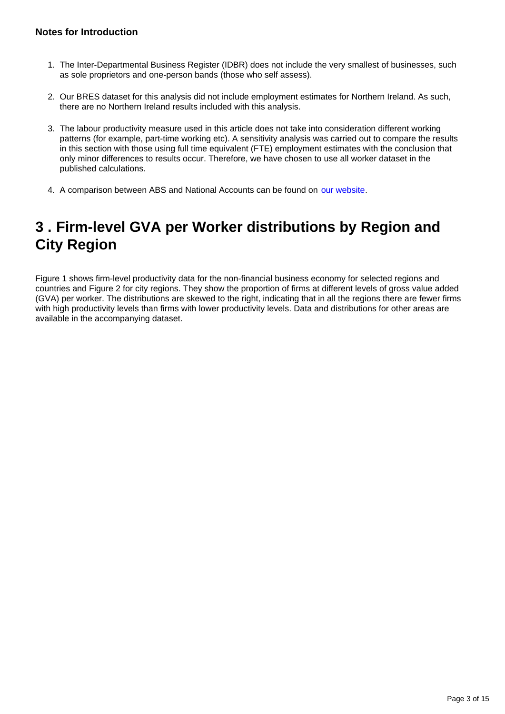#### **Notes for Introduction**

- 1. The Inter-Departmental Business Register (IDBR) does not include the very smallest of businesses, such as sole proprietors and one-person bands (those who self assess).
- 2. Our BRES dataset for this analysis did not include employment estimates for Northern Ireland. As such, there are no Northern Ireland results included with this analysis.
- 3. The labour productivity measure used in this article does not take into consideration different working patterns (for example, part-time working etc). A sensitivity analysis was carried out to compare the results in this section with those using full time equivalent (FTE) employment estimates with the conclusion that only minor differences to results occur. Therefore, we have chosen to use all worker dataset in the published calculations.
- 4. A comparison between ABS and National Accounts can be found on [our website.](http://www.ons.gov.uk/ons/guide-method/method-quality/specific/business-and-energy/annual-business-survey/quality-and-methods/a-comparison-between-abs-and-national-accounts-measures-of-value-added.pdf)

# <span id="page-2-0"></span>**3 . Firm-level GVA per Worker distributions by Region and City Region**

Figure 1 shows firm-level productivity data for the non-financial business economy for selected regions and countries and Figure 2 for city regions. They show the proportion of firms at different levels of gross value added (GVA) per worker. The distributions are skewed to the right, indicating that in all the regions there are fewer firms with high productivity levels than firms with lower productivity levels. Data and distributions for other areas are available in the accompanying dataset.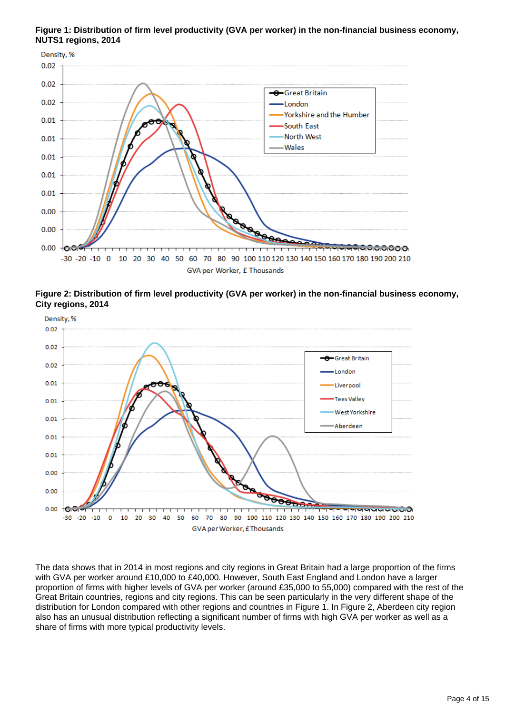**Figure 1: Distribution of firm level productivity (GVA per worker) in the non-financial business economy, NUTS1 regions, 2014**



**Figure 2: Distribution of firm level productivity (GVA per worker) in the non-financial business economy, City regions, 2014**



The data shows that in 2014 in most regions and city regions in Great Britain had a large proportion of the firms with GVA per worker around £10,000 to £40,000. However, South East England and London have a larger proportion of firms with higher levels of GVA per worker (around £35,000 to 55,000) compared with the rest of the Great Britain countries, regions and city regions. This can be seen particularly in the very different shape of the distribution for London compared with other regions and countries in Figure 1. In Figure 2, Aberdeen city region also has an unusual distribution reflecting a significant number of firms with high GVA per worker as well as a share of firms with more typical productivity levels.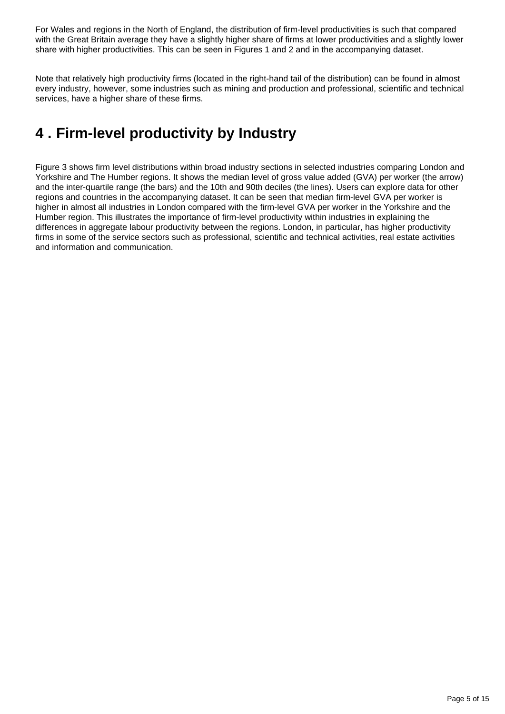For Wales and regions in the North of England, the distribution of firm-level productivities is such that compared with the Great Britain average they have a slightly higher share of firms at lower productivities and a slightly lower share with higher productivities. This can be seen in Figures 1 and 2 and in the accompanying dataset.

Note that relatively high productivity firms (located in the right-hand tail of the distribution) can be found in almost every industry, however, some industries such as mining and production and professional, scientific and technical services, have a higher share of these firms.

# <span id="page-4-0"></span>**4 . Firm-level productivity by Industry**

Figure 3 shows firm level distributions within broad industry sections in selected industries comparing London and Yorkshire and The Humber regions. It shows the median level of gross value added (GVA) per worker (the arrow) and the inter-quartile range (the bars) and the 10th and 90th deciles (the lines). Users can explore data for other regions and countries in the accompanying dataset. It can be seen that median firm-level GVA per worker is higher in almost all industries in London compared with the firm-level GVA per worker in the Yorkshire and the Humber region. This illustrates the importance of firm-level productivity within industries in explaining the differences in aggregate labour productivity between the regions. London, in particular, has higher productivity firms in some of the service sectors such as professional, scientific and technical activities, real estate activities and information and communication.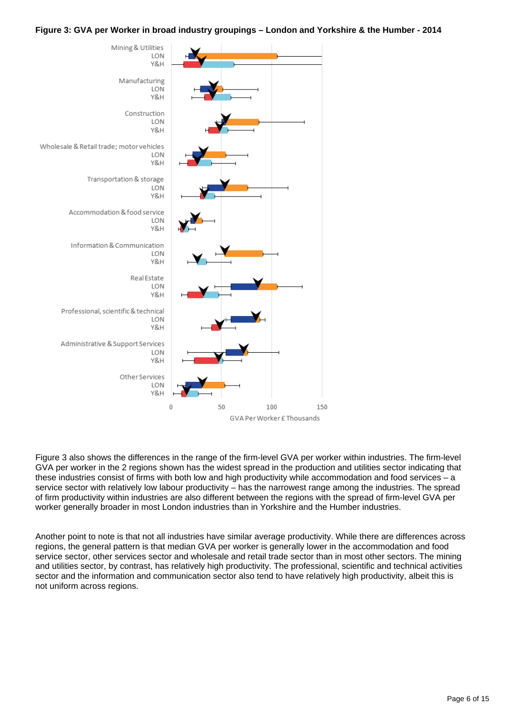#### **Figure 3: GVA per Worker in broad industry groupings – London and Yorkshire & the Humber - 2014**



Figure 3 also shows the differences in the range of the firm-level GVA per worker within industries. The firm-level GVA per worker in the 2 regions shown has the widest spread in the production and utilities sector indicating that these industries consist of firms with both low and high productivity while accommodation and food services – a service sector with relatively low labour productivity – has the narrowest range among the industries. The spread of firm productivity within industries are also different between the regions with the spread of firm-level GVA per worker generally broader in most London industries than in Yorkshire and the Humber industries.

Another point to note is that not all industries have similar average productivity. While there are differences across regions, the general pattern is that median GVA per worker is generally lower in the accommodation and food service sector, other services sector and wholesale and retail trade sector than in most other sectors. The mining and utilities sector, by contrast, has relatively high productivity. The professional, scientific and technical activities sector and the information and communication sector also tend to have relatively high productivity, albeit this is not uniform across regions.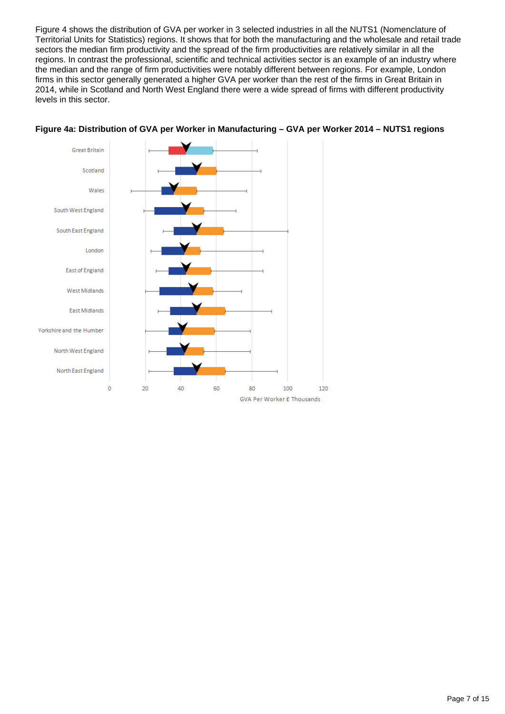Figure 4 shows the distribution of GVA per worker in 3 selected industries in all the NUTS1 (Nomenclature of Territorial Units for Statistics) regions. It shows that for both the manufacturing and the wholesale and retail trade sectors the median firm productivity and the spread of the firm productivities are relatively similar in all the regions. In contrast the professional, scientific and technical activities sector is an example of an industry where the median and the range of firm productivities were notably different between regions. For example, London firms in this sector generally generated a higher GVA per worker than the rest of the firms in Great Britain in 2014, while in Scotland and North West England there were a wide spread of firms with different productivity levels in this sector.



#### **Figure 4a: Distribution of GVA per Worker in Manufacturing – GVA per Worker 2014 – NUTS1 regions**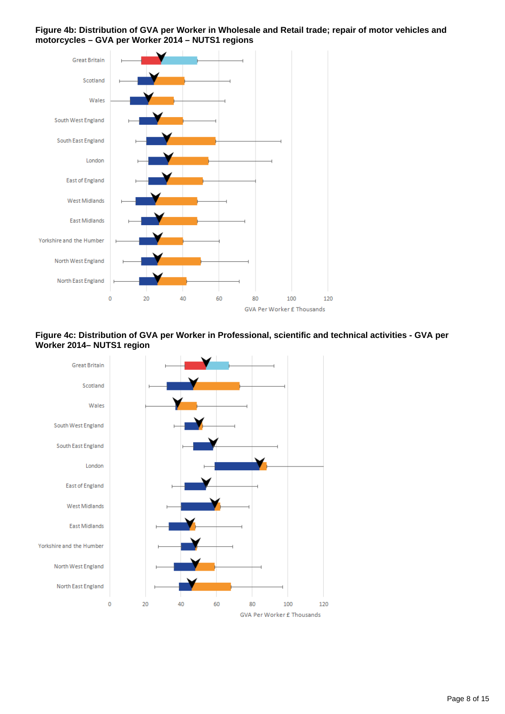





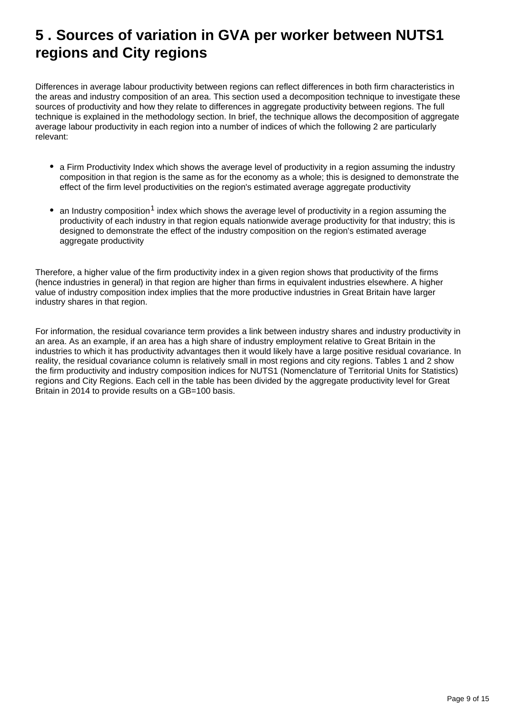### <span id="page-8-0"></span>**5 . Sources of variation in GVA per worker between NUTS1 regions and City regions**

Differences in average labour productivity between regions can reflect differences in both firm characteristics in the areas and industry composition of an area. This section used a decomposition technique to investigate these sources of productivity and how they relate to differences in aggregate productivity between regions. The full technique is explained in the methodology section. In brief, the technique allows the decomposition of aggregate average labour productivity in each region into a number of indices of which the following 2 are particularly relevant:

- a Firm Productivity Index which shows the average level of productivity in a region assuming the industry composition in that region is the same as for the economy as a whole; this is designed to demonstrate the effect of the firm level productivities on the region's estimated average aggregate productivity
- an Industry composition<sup>1</sup> index which shows the average level of productivity in a region assuming the productivity of each industry in that region equals nationwide average productivity for that industry; this is designed to demonstrate the effect of the industry composition on the region's estimated average aggregate productivity

Therefore, a higher value of the firm productivity index in a given region shows that productivity of the firms (hence industries in general) in that region are higher than firms in equivalent industries elsewhere. A higher value of industry composition index implies that the more productive industries in Great Britain have larger industry shares in that region.

For information, the residual covariance term provides a link between industry shares and industry productivity in an area. As an example, if an area has a high share of industry employment relative to Great Britain in the industries to which it has productivity advantages then it would likely have a large positive residual covariance. In reality, the residual covariance column is relatively small in most regions and city regions. Tables 1 and 2 show the firm productivity and industry composition indices for NUTS1 (Nomenclature of Territorial Units for Statistics) regions and City Regions. Each cell in the table has been divided by the aggregate productivity level for Great Britain in 2014 to provide results on a GB=100 basis.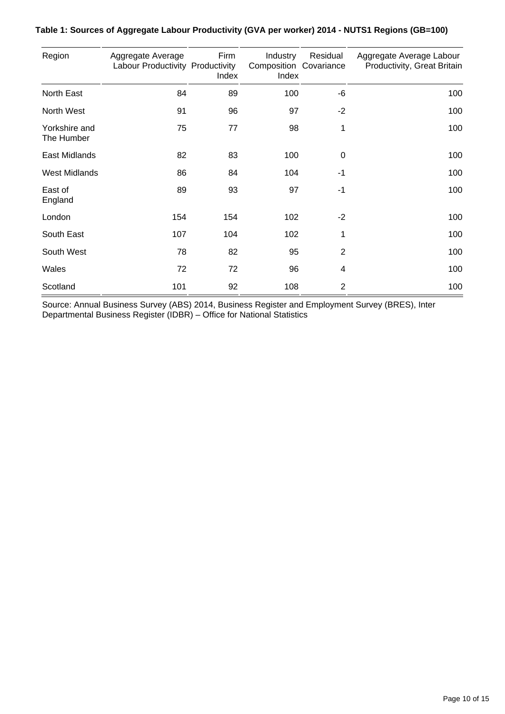| Region                      | Aggregate Average<br>Labour Productivity Productivity | Firm<br>Index | Industry<br>Composition Covariance<br>Index | Residual       | Aggregate Average Labour<br>Productivity, Great Britain |
|-----------------------------|-------------------------------------------------------|---------------|---------------------------------------------|----------------|---------------------------------------------------------|
| <b>North East</b>           | 84                                                    | 89            | 100                                         | -6             | 100                                                     |
| North West                  | 91                                                    | 96            | 97                                          | $-2$           | 100                                                     |
| Yorkshire and<br>The Humber | 75                                                    | 77            | 98                                          | 1              | 100                                                     |
| East Midlands               | 82                                                    | 83            | 100                                         | $\mathbf 0$    | 100                                                     |
| <b>West Midlands</b>        | 86                                                    | 84            | 104                                         | $-1$           | 100                                                     |
| East of<br>England          | 89                                                    | 93            | 97                                          | $-1$           | 100                                                     |
| London                      | 154                                                   | 154           | 102                                         | $-2$           | 100                                                     |
| South East                  | 107                                                   | 104           | 102                                         | 1              | 100                                                     |
| South West                  | 78                                                    | 82            | 95                                          | $\overline{2}$ | 100                                                     |
| Wales                       | 72                                                    | 72            | 96                                          | 4              | 100                                                     |
| Scotland                    | 101                                                   | 92            | 108                                         | $\overline{2}$ | 100                                                     |

#### **Table 1: Sources of Aggregate Labour Productivity (GVA per worker) 2014 - NUTS1 Regions (GB=100)**

Source: Annual Business Survey (ABS) 2014, Business Register and Employment Survey (BRES), Inter Departmental Business Register (IDBR) – Office for National Statistics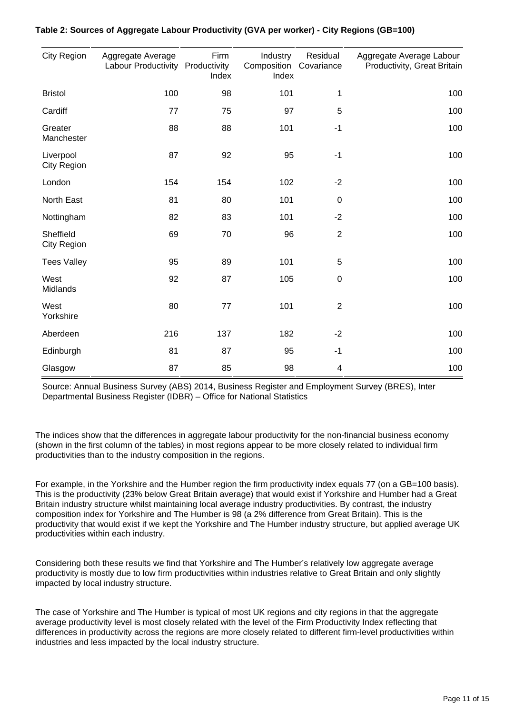| <b>City Region</b>              | Aggregate Average<br>Labour Productivity Productivity | Firm<br>Index | Industry<br>Composition Covariance<br>Index | Residual       | Aggregate Average Labour<br>Productivity, Great Britain |
|---------------------------------|-------------------------------------------------------|---------------|---------------------------------------------|----------------|---------------------------------------------------------|
| <b>Bristol</b>                  | 100                                                   | 98            | 101                                         | 1              | 100                                                     |
| Cardiff                         | 77                                                    | 75            | 97                                          | 5              | 100                                                     |
| Greater<br>Manchester           | 88                                                    | 88            | 101                                         | $-1$           | 100                                                     |
| Liverpool<br><b>City Region</b> | 87                                                    | 92            | 95                                          | $-1$           | 100                                                     |
| London                          | 154                                                   | 154           | 102                                         | $-2$           | 100                                                     |
| North East                      | 81                                                    | 80            | 101                                         | $\mathbf 0$    | 100                                                     |
| Nottingham                      | 82                                                    | 83            | 101                                         | $-2$           | 100                                                     |
| Sheffield<br><b>City Region</b> | 69                                                    | 70            | 96                                          | $\overline{2}$ | 100                                                     |
| <b>Tees Valley</b>              | 95                                                    | 89            | 101                                         | 5              | 100                                                     |
| West<br>Midlands                | 92                                                    | 87            | 105                                         | $\mathbf 0$    | 100                                                     |
| West<br>Yorkshire               | 80                                                    | 77            | 101                                         | $\overline{2}$ | 100                                                     |
| Aberdeen                        | 216                                                   | 137           | 182                                         | $-2$           | 100                                                     |
| Edinburgh                       | 81                                                    | 87            | 95                                          | $-1$           | 100                                                     |
| Glasgow                         | 87                                                    | 85            | 98                                          | 4              | 100                                                     |

#### **Table 2: Sources of Aggregate Labour Productivity (GVA per worker) - City Regions (GB=100)**

Source: Annual Business Survey (ABS) 2014, Business Register and Employment Survey (BRES), Inter Departmental Business Register (IDBR) – Office for National Statistics

The indices show that the differences in aggregate labour productivity for the non-financial business economy (shown in the first column of the tables) in most regions appear to be more closely related to individual firm productivities than to the industry composition in the regions.

For example, in the Yorkshire and the Humber region the firm productivity index equals 77 (on a GB=100 basis). This is the productivity (23% below Great Britain average) that would exist if Yorkshire and Humber had a Great Britain industry structure whilst maintaining local average industry productivities. By contrast, the industry composition index for Yorkshire and The Humber is 98 (a 2% difference from Great Britain). This is the productivity that would exist if we kept the Yorkshire and The Humber industry structure, but applied average UK productivities within each industry.

Considering both these results we find that Yorkshire and The Humber's relatively low aggregate average productivity is mostly due to low firm productivities within industries relative to Great Britain and only slightly impacted by local industry structure.

The case of Yorkshire and The Humber is typical of most UK regions and city regions in that the aggregate average productivity level is most closely related with the level of the Firm Productivity Index reflecting that differences in productivity across the regions are more closely related to different firm-level productivities within industries and less impacted by the local industry structure.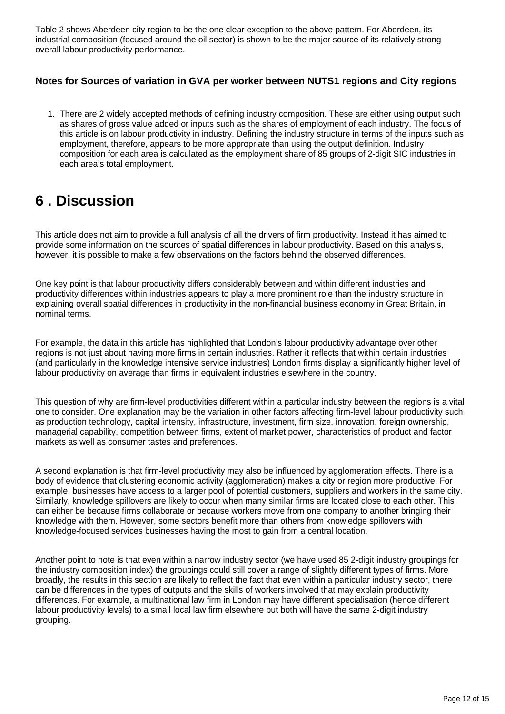Table 2 shows Aberdeen city region to be the one clear exception to the above pattern. For Aberdeen, its industrial composition (focused around the oil sector) is shown to be the major source of its relatively strong overall labour productivity performance.

#### **Notes for Sources of variation in GVA per worker between NUTS1 regions and City regions**

1. There are 2 widely accepted methods of defining industry composition. These are either using output such as shares of gross value added or inputs such as the shares of employment of each industry. The focus of this article is on labour productivity in industry. Defining the industry structure in terms of the inputs such as employment, therefore, appears to be more appropriate than using the output definition. Industry composition for each area is calculated as the employment share of 85 groups of 2-digit SIC industries in each area's total employment.

### <span id="page-11-0"></span>**6 . Discussion**

This article does not aim to provide a full analysis of all the drivers of firm productivity. Instead it has aimed to provide some information on the sources of spatial differences in labour productivity. Based on this analysis, however, it is possible to make a few observations on the factors behind the observed differences.

One key point is that labour productivity differs considerably between and within different industries and productivity differences within industries appears to play a more prominent role than the industry structure in explaining overall spatial differences in productivity in the non-financial business economy in Great Britain, in nominal terms.

For example, the data in this article has highlighted that London's labour productivity advantage over other regions is not just about having more firms in certain industries. Rather it reflects that within certain industries (and particularly in the knowledge intensive service industries) London firms display a significantly higher level of labour productivity on average than firms in equivalent industries elsewhere in the country.

This question of why are firm-level productivities different within a particular industry between the regions is a vital one to consider. One explanation may be the variation in other factors affecting firm-level labour productivity such as production technology, capital intensity, infrastructure, investment, firm size, innovation, foreign ownership, managerial capability, competition between firms, extent of market power, characteristics of product and factor markets as well as consumer tastes and preferences.

A second explanation is that firm-level productivity may also be influenced by agglomeration effects. There is a body of evidence that clustering economic activity (agglomeration) makes a city or region more productive. For example, businesses have access to a larger pool of potential customers, suppliers and workers in the same city. Similarly, knowledge spillovers are likely to occur when many similar firms are located close to each other. This can either be because firms collaborate or because workers move from one company to another bringing their knowledge with them. However, some sectors benefit more than others from knowledge spillovers with knowledge-focused services businesses having the most to gain from a central location.

Another point to note is that even within a narrow industry sector (we have used 85 2-digit industry groupings for the industry composition index) the groupings could still cover a range of slightly different types of firms. More broadly, the results in this section are likely to reflect the fact that even within a particular industry sector, there can be differences in the types of outputs and the skills of workers involved that may explain productivity differences. For example, a multinational law firm in London may have different specialisation (hence different labour productivity levels) to a small local law firm elsewhere but both will have the same 2-digit industry grouping.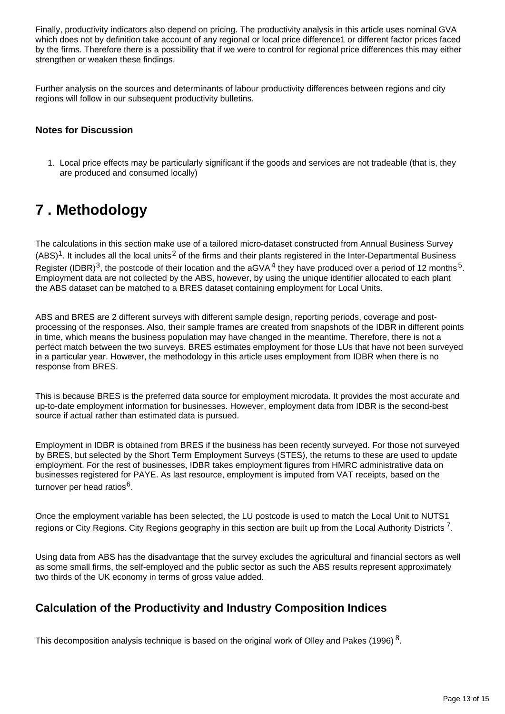Finally, productivity indicators also depend on pricing. The productivity analysis in this article uses nominal GVA which does not by definition take account of any regional or local price difference1 or different factor prices faced by the firms. Therefore there is a possibility that if we were to control for regional price differences this may either strengthen or weaken these findings.

Further analysis on the sources and determinants of labour productivity differences between regions and city regions will follow in our subsequent productivity bulletins.

#### **Notes for Discussion**

1. Local price effects may be particularly significant if the goods and services are not tradeable (that is, they are produced and consumed locally)

### <span id="page-12-0"></span>**7 . Methodology**

The calculations in this section make use of a tailored micro-dataset constructed from Annual Business Survey  $(ABS)^1$ . It includes all the local units<sup>2</sup> of the firms and their plants registered in the Inter-Departmental Business Register (IDBR)<sup>3</sup>, the postcode of their location and the aGVA<sup>4</sup> they have produced over a period of 12 months<sup>5</sup>. Employment data are not collected by the ABS, however, by using the unique identifier allocated to each plant the ABS dataset can be matched to a BRES dataset containing employment for Local Units.

ABS and BRES are 2 different surveys with different sample design, reporting periods, coverage and postprocessing of the responses. Also, their sample frames are created from snapshots of the IDBR in different points in time, which means the business population may have changed in the meantime. Therefore, there is not a perfect match between the two surveys. BRES estimates employment for those LUs that have not been surveyed in a particular year. However, the methodology in this article uses employment from IDBR when there is no response from BRES.

This is because BRES is the preferred data source for employment microdata. It provides the most accurate and up-to-date employment information for businesses. However, employment data from IDBR is the second-best source if actual rather than estimated data is pursued.

Employment in IDBR is obtained from BRES if the business has been recently surveyed. For those not surveyed by BRES, but selected by the Short Term Employment Surveys (STES), the returns to these are used to update employment. For the rest of businesses, IDBR takes employment figures from HMRC administrative data on businesses registered for PAYE. As last resource, employment is imputed from VAT receipts, based on the turnover per head ratios<sup>6</sup>.

Once the employment variable has been selected, the LU postcode is used to match the Local Unit to NUTS1 regions or City Regions. City Regions geography in this section are built up from the Local Authority Districts <sup>7</sup>.

Using data from ABS has the disadvantage that the survey excludes the agricultural and financial sectors as well as some small firms, the self-employed and the public sector as such the ABS results represent approximately two thirds of the UK economy in terms of gross value added.

### **Calculation of the Productivity and Industry Composition Indices**

This decomposition analysis technique is based on the original work of Olley and Pakes (1996)  $^8$ .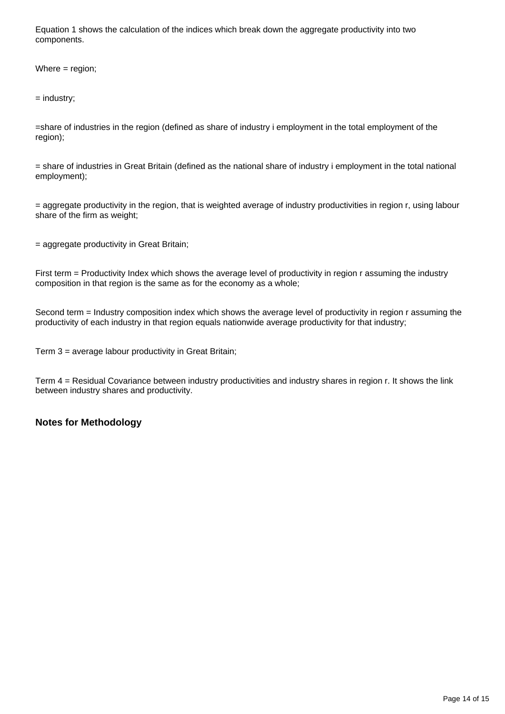Equation 1 shows the calculation of the indices which break down the aggregate productivity into two components.

Where = region;

= industry;

=share of industries in the region (defined as share of industry i employment in the total employment of the region);

= share of industries in Great Britain (defined as the national share of industry i employment in the total national employment);

= aggregate productivity in the region, that is weighted average of industry productivities in region r, using labour share of the firm as weight;

= aggregate productivity in Great Britain;

First term = Productivity Index which shows the average level of productivity in region r assuming the industry composition in that region is the same as for the economy as a whole;

Second term = Industry composition index which shows the average level of productivity in region r assuming the productivity of each industry in that region equals nationwide average productivity for that industry;

Term 3 = average labour productivity in Great Britain;

Term 4 = Residual Covariance between industry productivities and industry shares in region r. It shows the link between industry shares and productivity.

#### **Notes for Methodology**